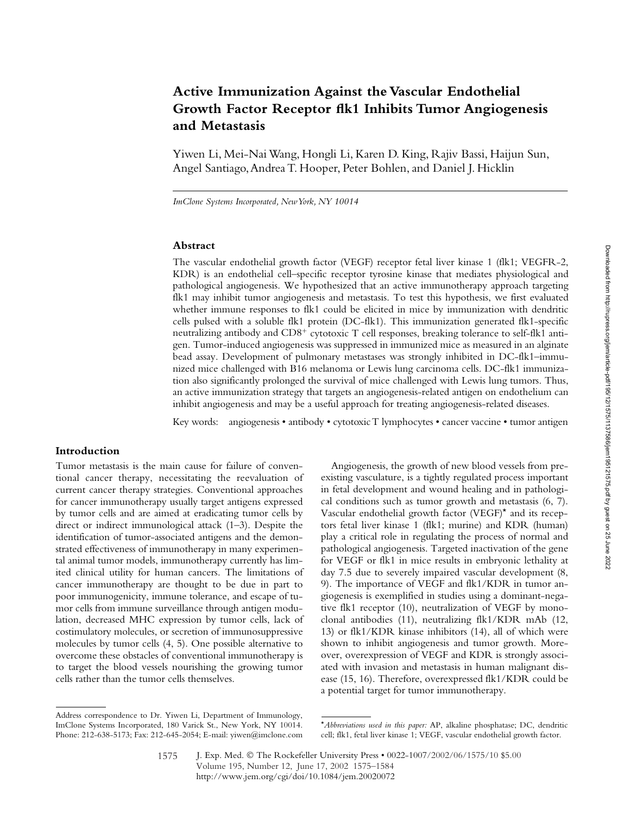# **Active Immunization Against the Vascular Endothelial Growth Factor Receptor flk1 Inhibits Tumor Angiogenesis and Metastasis**

Yiwen Li, Mei-Nai Wang, Hongli Li, Karen D. King, Rajiv Bassi, Haijun Sun, Angel Santiago, Andrea T. Hooper, Peter Bohlen, and Daniel J. Hicklin

*ImClone Systems Incorporated, New York, NY 10014*

## **Abstract**

The vascular endothelial growth factor (VEGF) receptor fetal liver kinase 1 (flk1; VEGFR-2, KDR) is an endothelial cell–specific receptor tyrosine kinase that mediates physiological and pathological angiogenesis. We hypothesized that an active immunotherapy approach targeting flk1 may inhibit tumor angiogenesis and metastasis. To test this hypothesis, we first evaluated whether immune responses to flk1 could be elicited in mice by immunization with dendritic cells pulsed with a soluble flk1 protein (DC-flk1). This immunization generated flk1-specific neutralizing antibody and CD8<sup>+</sup> cytotoxic T cell responses, breaking tolerance to self-flk1 antigen. Tumor-induced angiogenesis was suppressed in immunized mice as measured in an alginate bead assay. Development of pulmonary metastases was strongly inhibited in DC-flk1–immunized mice challenged with B16 melanoma or Lewis lung carcinoma cells. DC-flk1 immunization also significantly prolonged the survival of mice challenged with Lewis lung tumors. Thus, an active immunization strategy that targets an angiogenesis-related antigen on endothelium can inhibit angiogenesis and may be a useful approach for treating angiogenesis-related diseases.

Key words: angiogenesis • antibody • cytotoxic T lymphocytes • cancer vaccine • tumor antigen

# **Introduction**

Tumor metastasis is the main cause for failure of conventional cancer therapy, necessitating the reevaluation of current cancer therapy strategies. Conventional approaches for cancer immunotherapy usually target antigens expressed by tumor cells and are aimed at eradicating tumor cells by direct or indirect immunological attack (1–3). Despite the identification of tumor-associated antigens and the demonstrated effectiveness of immunotherapy in many experimental animal tumor models, immunotherapy currently has limited clinical utility for human cancers. The limitations of cancer immunotherapy are thought to be due in part to poor immunogenicity, immune tolerance, and escape of tumor cells from immune surveillance through antigen modulation, decreased MHC expression by tumor cells, lack of costimulatory molecules, or secretion of immunosuppressive molecules by tumor cells (4, 5). One possible alternative to overcome these obstacles of conventional immunotherapy is to target the blood vessels nourishing the growing tumor cells rather than the tumor cells themselves.

Angiogenesis, the growth of new blood vessels from preexisting vasculature, is a tightly regulated process important in fetal development and wound healing and in pathological conditions such as tumor growth and metastasis (6, 7). Vascular endothelial growth factor (VEGF)\* and its receptors fetal liver kinase 1 (flk1; murine) and KDR (human) play a critical role in regulating the process of normal and pathological angiogenesis. Targeted inactivation of the gene for VEGF or flk1 in mice results in embryonic lethality at day 7.5 due to severely impaired vascular development (8, 9). The importance of VEGF and flk1/KDR in tumor angiogenesis is exemplified in studies using a dominant-negative flk1 receptor (10), neutralization of VEGF by monoclonal antibodies (11), neutralizing flk1/KDR mAb (12, 13) or flk1/KDR kinase inhibitors (14), all of which were shown to inhibit angiogenesis and tumor growth. Moreover, overexpression of VEGF and KDR is strongly associated with invasion and metastasis in human malignant disease (15, 16). Therefore, overexpressed flk1/KDR could be a potential target for tumor immunotherapy.

Address correspondence to Dr. Yiwen Li, Department of Immunology, ImClone Systems Incorporated, 180 Varick St., New York, NY 10014. Phone: 212-638-5173; Fax: 212-645-2054; E-mail: yiwen@imclone.com

<sup>\*</sup>*Abbreviations used in this paper:* AP, alkaline phosphatase; DC, dendritic cell; flk1, fetal liver kinase 1; VEGF, vascular endothelial growth factor.

J. Exp. Med. © The Rockefeller University Press • 0022-1007/2002/06/1575/10 \$5.00 Volume 195, Number 12, June 17, 2002 1575–1584 http://www.jem.org/cgi/doi/10.1084/jem.20020072 1575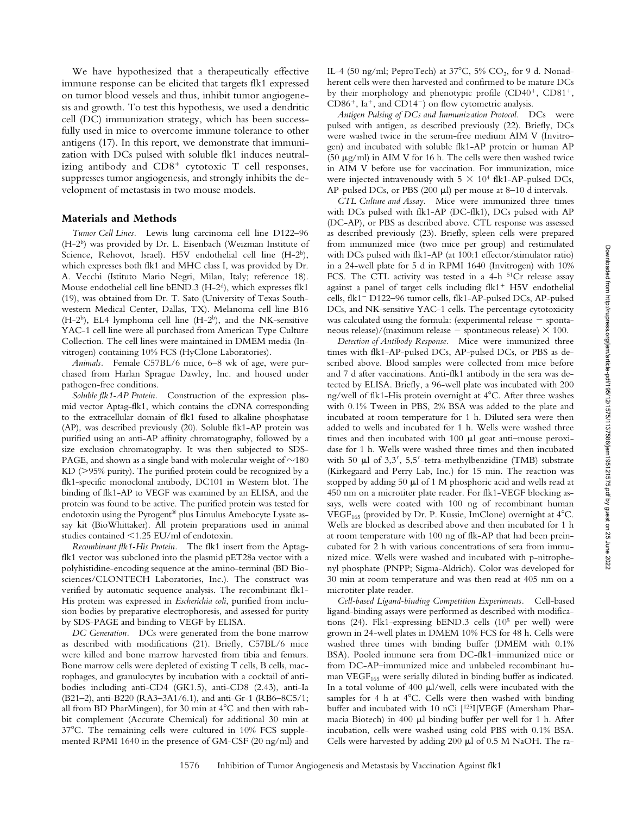We have hypothesized that a therapeutically effective immune response can be elicited that targets flk1 expressed on tumor blood vessels and thus, inhibit tumor angiogenesis and growth. To test this hypothesis, we used a dendritic cell (DC) immunization strategy, which has been successfully used in mice to overcome immune tolerance to other antigens (17). In this report, we demonstrate that immunization with DCs pulsed with soluble flk1 induces neutralizing antibody and CD8<sup>+</sup> cytotoxic T cell responses, suppresses tumor angiogenesis, and strongly inhibits the development of metastasis in two mouse models.

#### **Materials and Methods**

*Tumor Cell Lines.* Lewis lung carcinoma cell line D122–96 (H-2b) was provided by Dr. L. Eisenbach (Weizman Institute of Science, Rehovot, Israel). H5V endothelial cell line (H-2b), which expresses both flk1 and MHC class I, was provided by Dr. A. Vecchi (Istituto Mario Negri, Milan, Italy; reference 18). Mouse endothelial cell line bEND.3 (H-2d), which expresses flk1 (19), was obtained from Dr. T. Sato (University of Texas Southwestern Medical Center, Dallas, TX). Melanoma cell line B16  $(H-2^b)$ , EL4 lymphoma cell line  $(H-2^b)$ , and the NK-sensitive YAC-1 cell line were all purchased from American Type Culture Collection. The cell lines were maintained in DMEM media (Invitrogen) containing 10% FCS (HyClone Laboratories).

*Animals.* Female C57BL/6 mice, 6–8 wk of age, were purchased from Harlan Sprague Dawley, Inc. and housed under pathogen-free conditions.

*Soluble flk1-AP Protein.* Construction of the expression plasmid vector Aptag-flk1, which contains the cDNA corresponding to the extracellular domain of flk1 fused to alkaline phosphatase (AP), was described previously (20). Soluble flk1-AP protein was purified using an anti-AP affinity chromatography, followed by a size exclusion chromatography. It was then subjected to SDS-PAGE, and shown as a single band with molecular weight of  ${\sim}180$  $KD$  ( $>95\%$  purity). The purified protein could be recognized by a flk1-specific monoclonal antibody, DC101 in Western blot. The binding of flk1-AP to VEGF was examined by an ELISA, and the protein was found to be active. The purified protein was tested for endotoxin using the Pyrogent® plus Limulus Amebocyte Lysate assay kit (BioWhittaker). All protein preparations used in animal studies contained  $\leq$ 1.25 EU/ml of endotoxin.

*Recombinant flk1-His Protein.* The flk1 insert from the Aptagflk1 vector was subcloned into the plasmid pET28a vector with a polyhistidine-encoding sequence at the amino-terminal (BD Biosciences/CLONTECH Laboratories, Inc.). The construct was verified by automatic sequence analysis. The recombinant flk1- His protein was expressed in *Escherichia coli*, purified from inclusion bodies by preparative electrophoresis, and assessed for purity by SDS-PAGE and binding to VEGF by ELISA.

*DC Generation.* DCs were generated from the bone marrow as described with modifications (21). Briefly, C57BL/6 mice were killed and bone marrow harvested from tibia and femurs. Bone marrow cells were depleted of existing T cells, B cells, macrophages, and granulocytes by incubation with a cocktail of antibodies including anti-CD4 (GK1.5), anti-CD8 (2.43), anti-Ia (B21–2), anti-B220 (RA3–3A1/6.1), and anti-Gr-1 (RB6–8C5/1; all from BD PharMingen), for 30 min at  $4^{\circ}$ C and then with rabbit complement (Accurate Chemical) for additional 30 min at 37C. The remaining cells were cultured in 10% FCS supplemented RPMI 1640 in the presence of GM-CSF (20 ng/ml) and IL-4 (50 ng/ml; PeproTech) at  $37^{\circ}$ C, 5% CO<sub>2</sub>, for 9 d. Nonadherent cells were then harvested and confirmed to be mature DCs by their morphology and phenotypic profile (CD40<sup>+</sup>, CD81<sup>+</sup>,  $CD86^+$ , Ia<sup>+</sup>, and  $CD14^-$ ) on flow cytometric analysis.

*Antigen Pulsing of DCs and Immunization Protocol.* DCs were pulsed with antigen, as described previously (22). Briefly, DCs were washed twice in the serum-free medium AIM V (Invitrogen) and incubated with soluble flk1-AP protein or human AP (50  $\mu$ g/ml) in AIM V for 16 h. The cells were then washed twice in AIM V before use for vaccination. For immunization, mice were injected intravenously with  $5 \times 10^4$  flk1-AP-pulsed DCs, AP-pulsed DCs, or PBS (200  $\mu$ l) per mouse at 8–10 d intervals.

*CTL Culture and Assay.* Mice were immunized three times with DCs pulsed with flk1-AP (DC-flk1), DCs pulsed with AP (DC-AP), or PBS as described above. CTL response was assessed as described previously (23). Briefly, spleen cells were prepared from immunized mice (two mice per group) and restimulated with DCs pulsed with flk1-AP (at 100:1 effector/stimulator ratio) in a 24-well plate for 5 d in RPMI 1640 (Invitrogen) with 10% FCS. The CTL activity was tested in a 4-h <sup>51</sup>Cr release assay against a panel of target cells including flk1<sup>+</sup> H5V endothelial cells, flk1<sup>-</sup> D122-96 tumor cells, flk1-AP-pulsed DCs, AP-pulsed DCs, and NK-sensitive YAC-1 cells. The percentage cytotoxicity was calculated using the formula: (experimental release  $-$  spontaneous release)/(maximum release  $-$  spontaneous release)  $\times$  100.

*Detection of Antibody Response.* Mice were immunized three times with flk1-AP-pulsed DCs, AP-pulsed DCs, or PBS as described above. Blood samples were collected from mice before and 7 d after vaccinations. Anti-flk1 antibody in the sera was detected by ELISA. Briefly, a 96-well plate was incubated with 200 ng/well of flk1-His protein overnight at 4°C. After three washes with 0.1% Tween in PBS, 2% BSA was added to the plate and incubated at room temperature for 1 h. Diluted sera were then added to wells and incubated for 1 h. Wells were washed three times and then incubated with  $100 \mu l$  goat anti-mouse peroxidase for 1 h. Wells were washed three times and then incubated with 50  $\mu$ l of 3,3', 5,5'-tetra-methylbenzidine (TMB) substrate (Kirkegaard and Perry Lab, Inc.) for 15 min. The reaction was stopped by adding  $50 \mu l$  of 1 M phosphoric acid and wells read at 450 nm on a microtiter plate reader. For flk1-VEGF blocking assays, wells were coated with 100 ng of recombinant human VEGF<sub>165</sub> (provided by Dr. P. Kussie, ImClone) overnight at  $4^{\circ}$ C. Wells are blocked as described above and then incubated for 1 h at room temperature with 100 ng of flk-AP that had been preincubated for 2 h with various concentrations of sera from immunized mice. Wells were washed and incubated with p-nitrophenyl phosphate (PNPP; Sigma-Aldrich). Color was developed for 30 min at room temperature and was then read at 405 nm on a microtiter plate reader.

*Cell-based Ligand-binding Competition Experiments.* Cell-based ligand-binding assays were performed as described with modifications (24). Flk1-expressing bEND.3 cells (105 per well) were grown in 24-well plates in DMEM 10% FCS for 48 h. Cells were washed three times with binding buffer (DMEM with 0.1% BSA). Pooled immune sera from DC-flk1–immunized mice or from DC-AP–immunized mice and unlabeled recombinant human  $VEGF<sub>165</sub>$  were serially diluted in binding buffer as indicated. In a total volume of  $400 \mu l/well$ , cells were incubated with the samples for 4 h at  $4^{\circ}$ C. Cells were then washed with binding buffer and incubated with 10 nCi [125I]VEGF (Amersham Pharmacia Biotech) in  $400 \mu l$  binding buffer per well for 1 h. After incubation, cells were washed using cold PBS with 0.1% BSA. Cells were harvested by adding 200  $\mu$ l of 0.5 M NaOH. The ra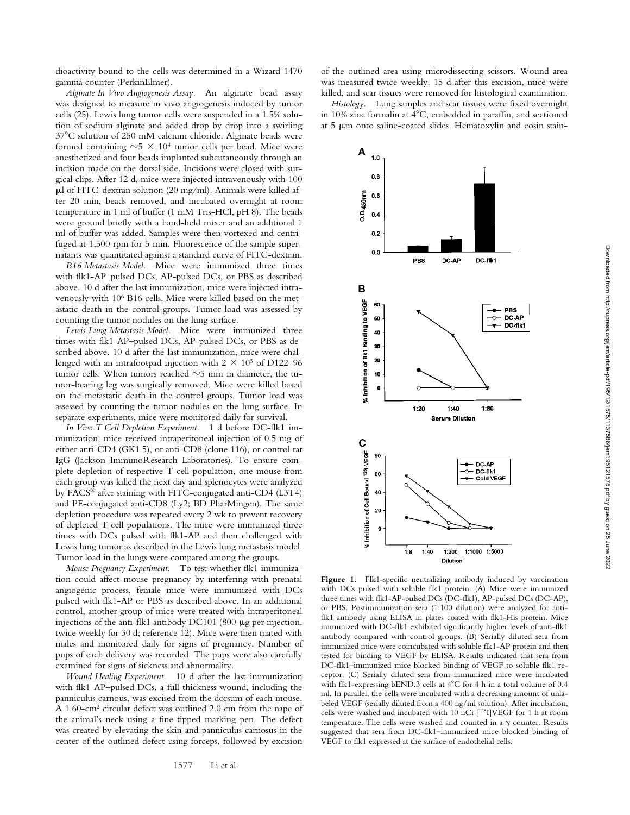dioactivity bound to the cells was determined in a Wizard 1470 gamma counter (PerkinElmer).

*Alginate In Vivo Angiogenesis Assay.* An alginate bead assay was designed to measure in vivo angiogenesis induced by tumor cells (25). Lewis lung tumor cells were suspended in a 1.5% solution of sodium alginate and added drop by drop into a swirling 37°C solution of 250 mM calcium chloride. Alginate beads were formed containing  $\sim$ 5  $\times$  10<sup>4</sup> tumor cells per bead. Mice were anesthetized and four beads implanted subcutaneously through an incision made on the dorsal side. Incisions were closed with surgical clips. After 12 d, mice were injected intravenously with 100  $\mu$ l of FITC-dextran solution (20 mg/ml). Animals were killed after 20 min, beads removed, and incubated overnight at room temperature in 1 ml of buffer (1 mM Tris-HCl, pH 8). The beads were ground briefly with a hand-held mixer and an additional 1 ml of buffer was added. Samples were then vortexed and centrifuged at 1,500 rpm for 5 min. Fluorescence of the sample supernatants was quantitated against a standard curve of FITC-dextran.

*B16 Metastasis Model.* Mice were immunized three times with flk1-AP–pulsed DCs, AP-pulsed DCs, or PBS as described above. 10 d after the last immunization, mice were injected intravenously with 106 B16 cells. Mice were killed based on the metastatic death in the control groups. Tumor load was assessed by counting the tumor nodules on the lung surface.

*Lewis Lung Metastasis Model.* Mice were immunized three times with flk1-AP–pulsed DCs, AP-pulsed DCs, or PBS as described above. 10 d after the last immunization, mice were challenged with an intrafootpad injection with  $2 \times 10^5$  of D122–96 tumor cells. When tumors reached  $\sim$ 5 mm in diameter, the tumor-bearing leg was surgically removed. Mice were killed based on the metastatic death in the control groups. Tumor load was assessed by counting the tumor nodules on the lung surface. In separate experiments, mice were monitored daily for survival.

*In Vivo T Cell Depletion Experiment.* 1 d before DC-flk1 immunization, mice received intraperitoneal injection of 0.5 mg of either anti-CD4 (GK1.5), or anti-CD8 (clone 116), or control rat IgG (Jackson ImmunoResearch Laboratories). To ensure complete depletion of respective T cell population, one mouse from each group was killed the next day and splenocytes were analyzed by FACS® after staining with FITC-conjugated anti-CD4 (L3T4) and PE-conjugated anti-CD8 (Ly2; BD PharMingen). The same depletion procedure was repeated every 2 wk to prevent recovery of depleted T cell populations. The mice were immunized three times with DCs pulsed with flk1-AP and then challenged with Lewis lung tumor as described in the Lewis lung metastasis model. Tumor load in the lungs were compared among the groups.

*Mouse Pregnancy Experiment.* To test whether flk1 immunization could affect mouse pregnancy by interfering with prenatal angiogenic process, female mice were immunized with DCs pulsed with flk1-AP or PBS as described above. In an additional control, another group of mice were treated with intraperitoneal injections of the anti-flk1 antibody  $DC101$  (800  $\mu$ g per injection, twice weekly for 30 d; reference 12). Mice were then mated with males and monitored daily for signs of pregnancy. Number of pups of each delivery was recorded. The pups were also carefully examined for signs of sickness and abnormality.

*Wound Healing Experiment.* 10 d after the last immunization with flk1-AP–pulsed DCs, a full thickness wound, including the panniculus carnous, was excised from the dorsum of each mouse. A 1.60-cm2 circular defect was outlined 2.0 cm from the nape of the animal's neck using a fine-tipped marking pen. The defect was created by elevating the skin and panniculus carnosus in the center of the outlined defect using forceps, followed by excision

of the outlined area using microdissecting scissors. Wound area was measured twice weekly. 15 d after this excision, mice were killed, and scar tissues were removed for histological examination.

*Histology.* Lung samples and scar tissues were fixed overnight in 10% zinc formalin at  $4^{\circ}$ C, embedded in paraffin, and sectioned at 5 µm onto saline-coated slides. Hematoxylin and eosin stain-



Figure 1. Flk1-specific neutralizing antibody induced by vaccination with DCs pulsed with soluble flk1 protein. (A) Mice were immunized three times with flk1-AP-pulsed DCs (DC-flk1), AP-pulsed DCs (DC-AP), or PBS. Postimmunization sera (1:100 dilution) were analyzed for antiflk1 antibody using ELISA in plates coated with flk1-His protein. Mice immunized with DC-flk1 exhibited significantly higher levels of anti-flk1 antibody compared with control groups. (B) Serially diluted sera from immunized mice were coincubated with soluble flk1-AP protein and then tested for binding to VEGF by ELISA. Results indicated that sera from DC-flk1–immunized mice blocked binding of VEGF to soluble flk1 receptor. (C) Serially diluted sera from immunized mice were incubated with flk1-expressing bEND.3 cells at 4°C for 4 h in a total volume of 0.4 ml. In parallel, the cells were incubated with a decreasing amount of unlabeled VEGF (serially diluted from a 400 ng/ml solution). After incubation, cells were washed and incubated with 10 nCi [125I]VEGF for 1 h at room temperature. The cells were washed and counted in a  $\gamma$  counter. Results suggested that sera from DC-flk1–immunized mice blocked binding of VEGF to flk1 expressed at the surface of endothelial cells.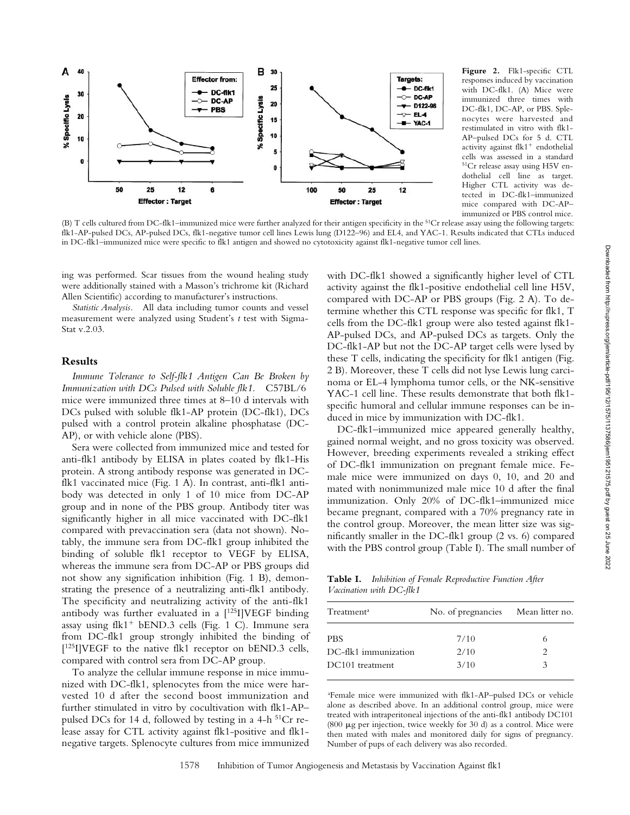

Figure 2. Flk1-specific CTL responses induced by vaccination with DC-flk1. (A) Mice were immunized three times with DC-flk1, DC-AP, or PBS. Splenocytes were harvested and restimulated in vitro with flk1- AP–pulsed DCs for 5 d. CTL activity against flk1<sup>+</sup> endothelial cells was assessed in a standard 51Cr release assay using H5V endothelial cell line as target. Higher CTL activity was detected in DC-flk1–immunized mice compared with DC-AP– immunized or PBS control mice.

(B) T cells cultured from DC-flk1–immunized mice were further analyzed for their antigen specificity in the <sup>51</sup>Cr release assay using the following targets: flk1-AP-pulsed DCs, AP-pulsed DCs, flk1-negative tumor cell lines Lewis lung (D122–96) and EL4, and YAC-1. Results indicated that CTLs induced in DC-flk1–immunized mice were specific to flk1 antigen and showed no cytotoxicity against flk1-negative tumor cell lines.

ing was performed. Scar tissues from the wound healing study were additionally stained with a Masson's trichrome kit (Richard Allen Scientific) according to manufacturer's instructions.

*Statistic Analysis.* All data including tumor counts and vessel measurement were analyzed using Student's *t* test with Sigma-Stat v.2.03.

# **Results**

*Immune Tolerance to Self-flk1 Antigen Can Be Broken by Immunization with DCs Pulsed with Soluble flk1.* C57BL/6 mice were immunized three times at 8–10 d intervals with DCs pulsed with soluble flk1-AP protein (DC-flk1), DCs pulsed with a control protein alkaline phosphatase (DC-AP), or with vehicle alone (PBS).

Sera were collected from immunized mice and tested for anti-flk1 antibody by ELISA in plates coated by flk1-His protein. A strong antibody response was generated in DCflk1 vaccinated mice (Fig. 1 A). In contrast, anti-flk1 antibody was detected in only 1 of 10 mice from DC-AP group and in none of the PBS group. Antibody titer was significantly higher in all mice vaccinated with DC-flk1 compared with prevaccination sera (data not shown). Notably, the immune sera from DC-flk1 group inhibited the binding of soluble flk1 receptor to VEGF by ELISA, whereas the immune sera from DC-AP or PBS groups did not show any signification inhibition (Fig. 1 B), demonstrating the presence of a neutralizing anti-flk1 antibody. The specificity and neutralizing activity of the anti-flk1 antibody was further evaluated in a  $[125]VEGF$  binding assay using flk1<sup>+</sup> bEND.3 cells (Fig. 1 C). Immune sera from DC-flk1 group strongly inhibited the binding of  $[125]$ ]VEGF to the native flk1 receptor on bEND.3 cells, compared with control sera from DC-AP group.

To analyze the cellular immune response in mice immunized with DC-flk1, splenocytes from the mice were harvested 10 d after the second boost immunization and further stimulated in vitro by cocultivation with flk1-AP– pulsed DCs for 14 d, followed by testing in a 4-h  $51Cr$  release assay for CTL activity against flk1-positive and flk1 negative targets. Splenocyte cultures from mice immunized

with DC-flk1 showed a significantly higher level of CTL activity against the flk1-positive endothelial cell line H5V, compared with DC-AP or PBS groups (Fig. 2 A). To determine whether this CTL response was specific for flk1, T cells from the DC-flk1 group were also tested against flk1- AP-pulsed DCs, and AP-pulsed DCs as targets. Only the DC-flk1-AP but not the DC-AP target cells were lysed by these T cells, indicating the specificity for flk1 antigen (Fig. 2 B). Moreover, these T cells did not lyse Lewis lung carcinoma or EL-4 lymphoma tumor cells, or the NK-sensitive YAC-1 cell line. These results demonstrate that both flk1 specific humoral and cellular immune responses can be induced in mice by immunization with DC-flk1.

DC-flk1–immunized mice appeared generally healthy, gained normal weight, and no gross toxicity was observed. However, breeding experiments revealed a striking effect of DC-flk1 immunization on pregnant female mice. Female mice were immunized on days 0, 10, and 20 and mated with nonimmunized male mice 10 d after the final immunization. Only 20% of DC-flk1–immunized mice became pregnant, compared with a 70% pregnancy rate in the control group. Moreover, the mean litter size was significantly smaller in the DC-flk1 group (2 vs. 6) compared with the PBS control group (Table I). The small number of

**Table I.** *Inhibition of Female Reproductive Function After Vaccination with DC-flk1*

| Treatment <sup>a</sup> | No. of pregnancies Mean litter no. |                                                                                                                                                                 |
|------------------------|------------------------------------|-----------------------------------------------------------------------------------------------------------------------------------------------------------------|
| PBS                    | 7/10                               |                                                                                                                                                                 |
| DC-flk1 immunization   | 2/10                               | $\mathcal{D}_{\mathcal{A}}^{\mathcal{A}}(\mathcal{A})=\mathcal{D}_{\mathcal{A}}^{\mathcal{A}}(\mathcal{A})\mathcal{D}_{\mathcal{A}}^{\mathcal{A}}(\mathcal{A})$ |
| DC101 treatment        | 3/10                               | 3                                                                                                                                                               |
|                        |                                    |                                                                                                                                                                 |

a Female mice were immunized with flk1-AP–pulsed DCs or vehicle alone as described above. In an additional control group, mice were treated with intraperitoneal injections of the anti-flk1 antibody DC101 (800  $\mu$ g per injection, twice weekly for 30 d) as a control. Mice were then mated with males and monitored daily for signs of pregnancy. Number of pups of each delivery was also recorded.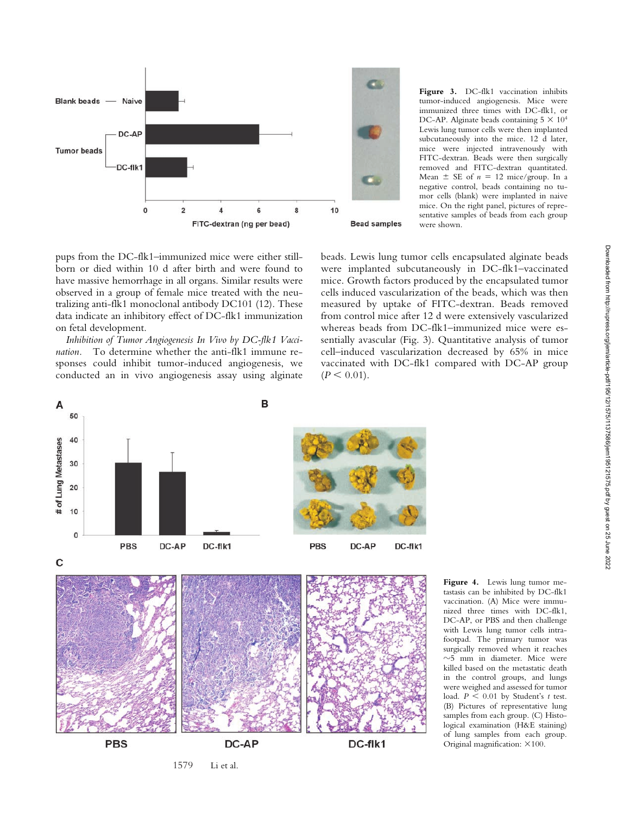

**Figure 3.** DC-flk1 vaccination inhibits tumor-induced angiogenesis. Mice were immunized three times with DC-flk1, or DC-AP. Alginate beads containing  $5 \times 10^4$ Lewis lung tumor cells were then implanted subcutaneously into the mice. 12 d later, mice were injected intravenously with FITC-dextran. Beads were then surgically removed and FITC-dextran quantitated. Mean  $\pm$  SE of  $n = 12$  mice/group. In a negative control, beads containing no tumor cells (blank) were implanted in naive mice. On the right panel, pictures of representative samples of beads from each group were shown.

pups from the DC-flk1–immunized mice were either stillborn or died within 10 d after birth and were found to have massive hemorrhage in all organs. Similar results were observed in a group of female mice treated with the neutralizing anti-flk1 monoclonal antibody DC101 (12). These data indicate an inhibitory effect of DC-flk1 immunization on fetal development.

*Inhibition of Tumor Angiogenesis In Vivo by DC-flk1 Vaccination.* To determine whether the anti-flk1 immune responses could inhibit tumor-induced angiogenesis, we conducted an in vivo angiogenesis assay using alginate beads. Lewis lung tumor cells encapsulated alginate beads were implanted subcutaneously in DC-flk1–vaccinated mice. Growth factors produced by the encapsulated tumor cells induced vascularization of the beads, which was then measured by uptake of FITC-dextran. Beads removed from control mice after 12 d were extensively vascularized whereas beads from DC-flk1–immunized mice were essentially avascular (Fig. 3). Quantitative analysis of tumor cell–induced vascularization decreased by 65% in mice vaccinated with DC-flk1 compared with DC-AP group  $(P < 0.01)$ .



1579 Li et al.

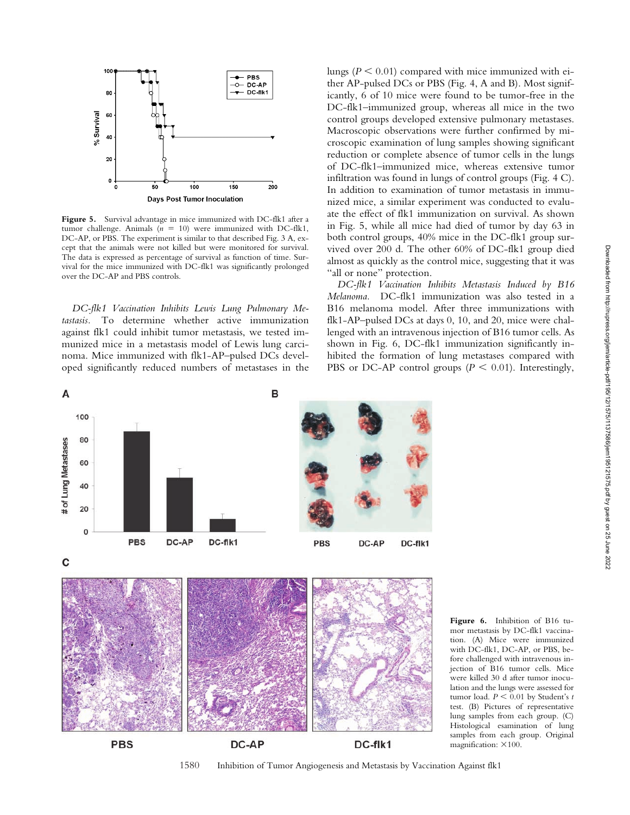

Figure 5. Survival advantage in mice immunized with DC-flk1 after a tumor challenge. Animals  $(n = 10)$  were immunized with DC-flk1, DC-AP, or PBS. The experiment is similar to that described Fig. 3 A, except that the animals were not killed but were monitored for survival. The data is expressed as percentage of survival as function of time. Survival for the mice immunized with DC-flk1 was significantly prolonged over the DC-AP and PBS controls.

*DC-flk1 Vaccination Inhibits Lewis Lung Pulmonary Metastasis.* To determine whether active immunization against flk1 could inhibit tumor metastasis, we tested immunized mice in a metastasis model of Lewis lung carcinoma. Mice immunized with flk1-AP–pulsed DCs developed significantly reduced numbers of metastases in the lungs ( $P \leq 0.01$ ) compared with mice immunized with either AP-pulsed DCs or PBS (Fig. 4, A and B). Most significantly, 6 of 10 mice were found to be tumor-free in the DC-flk1–immunized group, whereas all mice in the two control groups developed extensive pulmonary metastases. Macroscopic observations were further confirmed by microscopic examination of lung samples showing significant reduction or complete absence of tumor cells in the lungs of DC-flk1–immunized mice, whereas extensive tumor infiltration was found in lungs of control groups (Fig. 4 C). In addition to examination of tumor metastasis in immunized mice, a similar experiment was conducted to evaluate the effect of flk1 immunization on survival. As shown in Fig. 5, while all mice had died of tumor by day 63 in both control groups, 40% mice in the DC-flk1 group survived over 200 d. The other 60% of DC-flk1 group died almost as quickly as the control mice, suggesting that it was "all or none" protection.

*DC-flk1 Vaccination Inhibits Metastasis Induced by B16 Melanoma.* DC-flk1 immunization was also tested in a B16 melanoma model. After three immunizations with flk1-AP–pulsed DCs at days 0, 10, and 20, mice were challenged with an intravenous injection of B16 tumor cells. As shown in Fig. 6, DC-flk1 immunization significantly inhibited the formation of lung metastases compared with PBS or DC-AP control groups  $(P \le 0.01)$ . Interestingly,



**Figure 6.** Inhibition of B16 tumor metastasis by DC-flk1 vaccination. (A) Mice were immunized with DC-flk1, DC-AP, or PBS, before challenged with intravenous injection of B16 tumor cells. Mice were killed 30 d after tumor inoculation and the lungs were assessed for tumor load.  $P \leq 0.01$  by Student's *t* test. (B) Pictures of representative lung samples from each group. (C) Histological esamination of lung samples from each group. Original magnification:  $\times 100$ .

1580 Inhibition of Tumor Angiogenesis and Metastasis by Vaccination Against flk1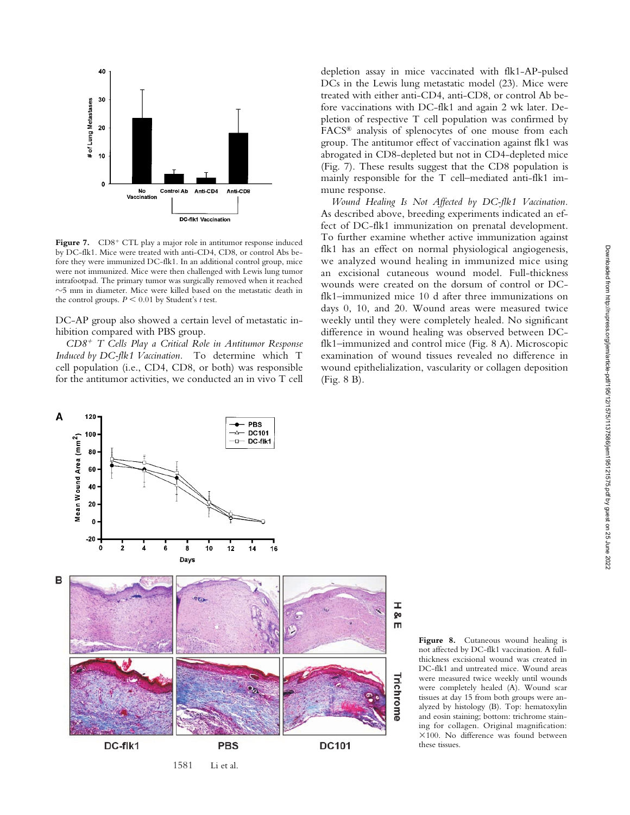

Figure 7. CD8<sup>+</sup> CTL play a major role in antitumor response induced by DC-flk1. Mice were treated with anti-CD4, CD8, or control Abs before they were immunized DC-flk1. In an additional control group, mice were not immunized. Mice were then challenged with Lewis lung tumor intrafootpad. The primary tumor was surgically removed when it reached  $\sim$ 5 mm in diameter. Mice were killed based on the metastatic death in the control groups.  $P \leq 0.01$  by Student's *t* test.

DC-AP group also showed a certain level of metastatic inhibition compared with PBS group.

*CD8*- *T Cells Play a Critical Role in Antitumor Response Induced by DC-flk1 Vaccination.* To determine which T cell population (i.e., CD4, CD8, or both) was responsible for the antitumor activities, we conducted an in vivo T cell

depletion assay in mice vaccinated with flk1-AP-pulsed DCs in the Lewis lung metastatic model (23). Mice were treated with either anti-CD4, anti-CD8, or control Ab before vaccinations with DC-flk1 and again 2 wk later. Depletion of respective T cell population was confirmed by FACS® analysis of splenocytes of one mouse from each group. The antitumor effect of vaccination against flk1 was abrogated in CD8-depleted but not in CD4-depleted mice (Fig. 7). These results suggest that the CD8 population is mainly responsible for the T cell–mediated anti-flk1 immune response.

*Wound Healing Is Not Affected by DC-flk1 Vaccination.* As described above, breeding experiments indicated an effect of DC-flk1 immunization on prenatal development. To further examine whether active immunization against flk1 has an effect on normal physiological angiogenesis, we analyzed wound healing in immunized mice using an excisional cutaneous wound model. Full-thickness wounds were created on the dorsum of control or DCflk1–immunized mice 10 d after three immunizations on days 0, 10, and 20. Wound areas were measured twice weekly until they were completely healed. No significant difference in wound healing was observed between DCflk1–immunized and control mice (Fig. 8 A). Microscopic examination of wound tissues revealed no difference in wound epithelialization, vascularity or collagen deposition (Fig. 8 B).



**Figure 8.** Cutaneous wound healing is not affected by DC-flk1 vaccination. A fullthickness excisional wound was created in DC-flk1 and untreated mice. Wound areas were measured twice weekly until wounds were completely healed (A). Wound scar tissues at day 15 from both groups were analyzed by histology (B). Top: hematoxylin and eosin staining; bottom: trichrome staining for collagen. Original magnification:  $\times 100$ . No difference was found between these tissues.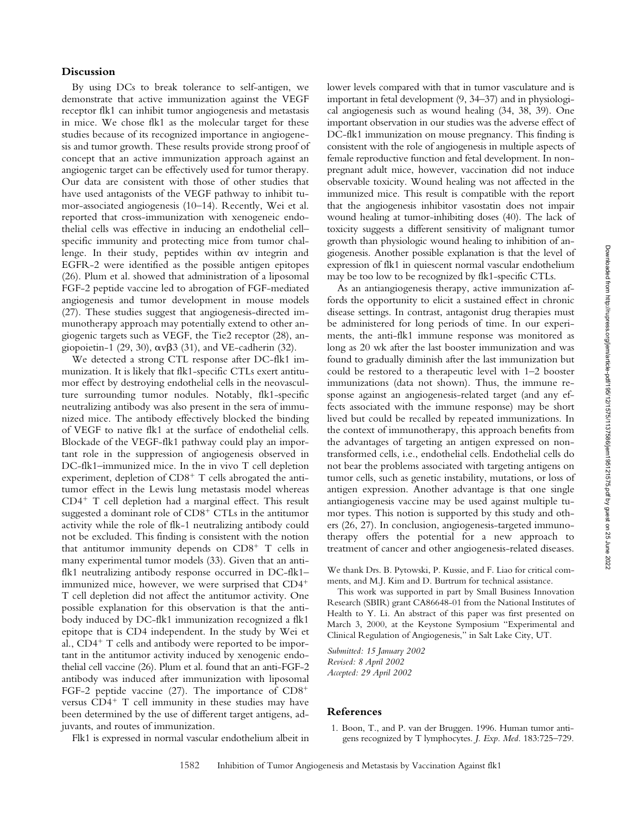By using DCs to break tolerance to self-antigen, we demonstrate that active immunization against the VEGF receptor flk1 can inhibit tumor angiogenesis and metastasis in mice. We chose flk1 as the molecular target for these studies because of its recognized importance in angiogenesis and tumor growth. These results provide strong proof of concept that an active immunization approach against an angiogenic target can be effectively used for tumor therapy. Our data are consistent with those of other studies that have used antagonists of the VEGF pathway to inhibit tumor-associated angiogenesis (10–14). Recently, Wei et al. reported that cross-immunization with xenogeneic endothelial cells was effective in inducing an endothelial cell– specific immunity and protecting mice from tumor challenge. In their study, peptides within  $\alpha v$  integrin and EGFR-2 were identified as the possible antigen epitopes (26). Plum et al. showed that administration of a liposomal FGF-2 peptide vaccine led to abrogation of FGF-mediated angiogenesis and tumor development in mouse models (27). These studies suggest that angiogenesis-directed immunotherapy approach may potentially extend to other angiogenic targets such as VEGF, the Tie2 receptor (28), angiopoietin-1 (29, 30),  $\alpha \nu \beta$ 3 (31), and VE-cadherin (32).

We detected a strong CTL response after DC-flk1 immunization. It is likely that flk1-specific CTLs exert antitumor effect by destroying endothelial cells in the neovasculture surrounding tumor nodules. Notably, flk1-specific neutralizing antibody was also present in the sera of immunized mice. The antibody effectively blocked the binding of VEGF to native flk1 at the surface of endothelial cells. Blockade of the VEGF-flk1 pathway could play an important role in the suppression of angiogenesis observed in DC-flk1–immunized mice. In the in vivo T cell depletion experiment, depletion of CD8<sup>+</sup> T cells abrogated the antitumor effect in the Lewis lung metastasis model whereas CD4- T cell depletion had a marginal effect. This result suggested a dominant role of CD8<sup>+</sup> CTLs in the antitumor activity while the role of flk-1 neutralizing antibody could not be excluded. This finding is consistent with the notion that antitumor immunity depends on CD8<sup>+</sup> T cells in many experimental tumor models (33). Given that an antiflk1 neutralizing antibody response occurred in DC-flk1– immunized mice, however, we were surprised that CD4- T cell depletion did not affect the antitumor activity. One possible explanation for this observation is that the antibody induced by DC-flk1 immunization recognized a flk1 epitope that is CD4 independent. In the study by Wei et al., CD4<sup>+</sup> T cells and antibody were reported to be important in the antitumor activity induced by xenogenic endothelial cell vaccine (26). Plum et al. found that an anti-FGF-2 antibody was induced after immunization with liposomal FGF-2 peptide vaccine (27). The importance of CD8<sup>+</sup> versus CD4<sup>+</sup> T cell immunity in these studies may have been determined by the use of different target antigens, adjuvants, and routes of immunization.

lower levels compared with that in tumor vasculature and is important in fetal development (9, 34–37) and in physiological angiogenesis such as wound healing (34, 38, 39). One important observation in our studies was the adverse effect of DC-flk1 immunization on mouse pregnancy. This finding is consistent with the role of angiogenesis in multiple aspects of female reproductive function and fetal development. In nonpregnant adult mice, however, vaccination did not induce observable toxicity. Wound healing was not affected in the immunized mice. This result is compatible with the report that the angiogenesis inhibitor vasostatin does not impair wound healing at tumor-inhibiting doses (40). The lack of toxicity suggests a different sensitivity of malignant tumor growth than physiologic wound healing to inhibition of angiogenesis. Another possible explanation is that the level of expression of flk1 in quiescent normal vascular endothelium may be too low to be recognized by flk1-specific CTLs.

As an antiangiogenesis therapy, active immunization affords the opportunity to elicit a sustained effect in chronic disease settings. In contrast, antagonist drug therapies must be administered for long periods of time. In our experiments, the anti-flk1 immune response was monitored as long as 20 wk after the last booster immunization and was found to gradually diminish after the last immunization but could be restored to a therapeutic level with 1–2 booster immunizations (data not shown). Thus, the immune response against an angiogenesis-related target (and any effects associated with the immune response) may be short lived but could be recalled by repeated immunizations. In the context of immunotherapy, this approach benefits from the advantages of targeting an antigen expressed on nontransformed cells, i.e., endothelial cells. Endothelial cells do not bear the problems associated with targeting antigens on tumor cells, such as genetic instability, mutations, or loss of antigen expression. Another advantage is that one single antiangiogenesis vaccine may be used against multiple tumor types. This notion is supported by this study and others (26, 27). In conclusion, angiogenesis-targeted immunotherapy offers the potential for a new approach to treatment of cancer and other angiogenesis-related diseases.

We thank Drs. B. Pytowski, P. Kussie, and F. Liao for critical comments, and M.J. Kim and D. Burtrum for technical assistance.

This work was supported in part by Small Business Innovation Research (SBIR) grant CA86648-01 from the National Institutes of Health to Y. Li. An abstract of this paper was first presented on March 3, 2000, at the Keystone Symposium "Experimental and Clinical Regulation of Angiogenesis," in Salt Lake City, UT.

*Submitted: 15 January 2002 Revised: 8 April 2002 Accepted: 29 April 2002*

### **References**

- Flk1 is expressed in normal vascular endothelium albeit in
- 1. Boon, T., and P. van der Bruggen. 1996. Human tumor antigens recognized by T lymphocytes. *J. Exp. Med.* 183:725–729.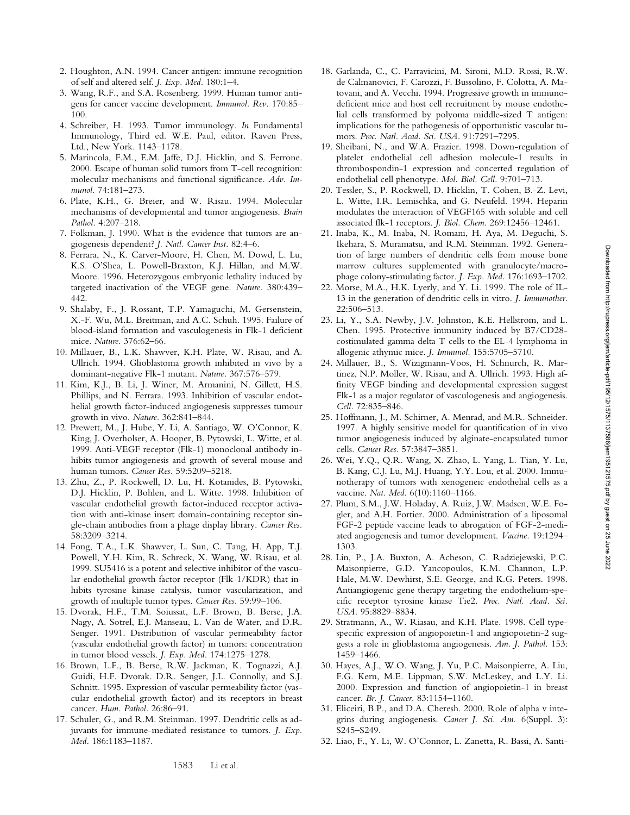- 2. Houghton, A.N. 1994. Cancer antigen: immune recognition of self and altered self. *J. Exp. Med.* 180:1–4.
- 3. Wang, R.F., and S.A. Rosenberg. 1999. Human tumor antigens for cancer vaccine development. *Immunol. Rev.* 170:85– 100.
- 4. Schreiber, H. 1993. Tumor immunology. *In* Fundamental Immunology, Third ed. W.E. Paul, editor. Raven Press, Ltd., New York. 1143–1178.
- 5. Marincola, F.M., E.M. Jaffe, D.J. Hicklin, and S. Ferrone. 2000. Escape of human solid tumors from T-cell recognition: molecular mechanisms and functional significance. *Adv. Immunol.* 74:181–273.
- 6. Plate, K.H., G. Breier, and W. Risau. 1994. Molecular mechanisms of developmental and tumor angiogenesis. *Brain Pathol.* 4:207–218.
- 7. Folkman, J. 1990. What is the evidence that tumors are angiogenesis dependent? *J. Natl. Cancer Inst.* 82:4–6.
- 8. Ferrara, N., K. Carver-Moore, H. Chen, M. Dowd, L. Lu, K.S. O'Shea, L. Powell-Braxton, K.J. Hillan, and M.W. Moore. 1996. Heterozygous embryonic lethality induced by targeted inactivation of the VEGF gene. *Nature.* 380:439– 442.
- 9. Shalaby, F., J. Rossant, T.P. Yamaguchi, M. Gersenstein, X.-F. Wu, M.L. Breitman, and A.C. Schuh. 1995. Failure of blood-island formation and vasculogenesis in Flk-1 deficient mice. *Nature.* 376:62–66.
- 10. Millauer, B., L.K. Shawver, K.H. Plate, W. Risau, and A. Ullrich. 1994. Glioblastoma growth inhibited in vivo by a dominant-negative Flk-1 mutant. *Nature.* 367:576–579.
- 11. Kim, K.J., B. Li, J. Winer, M. Armanini, N. Gillett, H.S. Phillips, and N. Ferrara. 1993. Inhibition of vascular endothelial growth factor-induced angiogenesis suppresses tumour growth in vivo. *Nature.* 362:841–844.
- 12. Prewett, M., J. Hube, Y. Li, A. Santiago, W. O'Connor, K. King, J. Overholser, A. Hooper, B. Pytowski, L. Witte, et al. 1999. Anti-VEGF receptor (Flk-1) monoclonal antibody inhibits tumor angiogenesis and growth of several mouse and human tumors. *Cancer Res.* 59:5209–5218.
- 13. Zhu, Z., P. Rockwell, D. Lu, H. Kotanides, B. Pytowski, D.J. Hicklin, P. Bohlen, and L. Witte. 1998. Inhibition of vascular endothelial growth factor-induced receptor activation with anti-kinase insert domain-containing receptor single-chain antibodies from a phage display library. *Cancer Res.* 58:3209–3214.
- 14. Fong, T.A., L.K. Shawver, L. Sun, C. Tang, H. App, T.J. Powell, Y.H. Kim, R. Schreck, X. Wang, W. Risau, et al. 1999. SU5416 is a potent and selective inhibitor of the vascular endothelial growth factor receptor (Flk-1/KDR) that inhibits tyrosine kinase catalysis, tumor vascularization, and growth of multiple tumor types. *Cancer Res.* 59:99–106.
- 15. Dvorak, H.F., T.M. Soiussat, L.F. Brown, B. Berse, J.A. Nagy, A. Sotrel, E.J. Manseau, L. Van de Water, and D.R. Senger. 1991. Distribution of vascular permeability factor (vascular endothelial growth factor) in tumors: concentration in tumor blood vessels. *J. Exp. Med.* 174:1275–1278.
- 16. Brown, L.F., B. Berse, R.W. Jackman, K. Tognazzi, A.J. Guidi, H.F. Dvorak. D.R. Senger, J.L. Connolly, and S.J. Schnitt. 1995. Expression of vascular permeability factor (vascular endothelial growth factor) and its receptors in breast cancer. *Hum. Pathol.* 26:86–91.
- 17. Schuler, G., and R.M. Steinman. 1997. Dendritic cells as adjuvants for immune-mediated resistance to tumors. *J. Exp. Med.* 186:1183–1187.
- 18. Garlanda, C., C. Parravicini, M. Sironi, M.D. Rossi, R.W. de Calmanovici, F. Carozzi, F. Bussolino, F. Colotta, A. Matovani, and A. Vecchi. 1994. Progressive growth in immunodeficient mice and host cell recruitment by mouse endothelial cells transformed by polyoma middle-sized T antigen: implications for the pathogenesis of opportunistic vascular tumors. *Proc. Natl. Acad. Sci. USA.* 91:7291–7295.
- 19. Sheibani, N., and W.A. Frazier. 1998. Down-regulation of platelet endothelial cell adhesion molecule-1 results in thrombospondin-1 expression and concerted regulation of endothelial cell phenotype. *Mol. Biol. Cell.* 9:701–713.
- 20. Tessler, S., P. Rockwell, D. Hicklin, T. Cohen, B.-Z. Levi, L. Witte, I.R. Lemischka, and G. Neufeld. 1994. Heparin modulates the interaction of VEGF165 with soluble and cell associated flk-1 receptors. *J. Biol. Chem.* 269:12456–12461.
- 21. Inaba, K., M. Inaba, N. Romani, H. Aya, M. Deguchi, S. Ikehara, S. Muramatsu, and R.M. Steinman. 1992. Generation of large numbers of dendritic cells from mouse bone marrow cultures supplemented with granulocyte/macrophage colony-stimulating factor. *J. Exp. Med.* 176:1693–1702.
- 22. Morse, M.A., H.K. Lyerly, and Y. Li. 1999. The role of IL-13 in the generation of dendritic cells in vitro. *J. Immunother.* 22:506–513.
- 23. Li, Y., S.A. Newby, J.V. Johnston, K.E. Hellstrom, and L. Chen. 1995. Protective immunity induced by B7/CD28 costimulated gamma delta T cells to the EL-4 lymphoma in allogenic athymic mice. *J. Immunol.* 155:5705–5710.
- 24. Millauer, B., S. Wizigmann-Voos, H. Schnurch, R. Martinez, N.P. Moller, W. Risau, and A. Ullrich. 1993. High affinity VEGF binding and developmental expression suggest Flk-1 as a major regulator of vasculogenesis and angiogenesis. *Cell.* 72:835–846.
- 25. Hoffmann, J., M. Schirner, A. Menrad, and M.R. Schneider. 1997. A highly sensitive model for quantification of in vivo tumor angiogenesis induced by alginate-encapsulated tumor cells. *Cancer Res.* 57:3847–3851.
- 26. Wei, Y.Q., Q.R. Wang, X. Zhao, L. Yang, L. Tian, Y. Lu, B. Kang, C.J. Lu, M.J. Huang, Y.Y. Lou, et al. 2000. Immunotherapy of tumors with xenogeneic endothelial cells as a vaccine. *Nat. Med.* 6(10):1160–1166.
- 27. Plum, S.M., J.W. Holaday, A. Ruiz, J.W. Madsen, W.E. Fogler, and A.H. Fortier. 2000. Administration of a liposomal FGF-2 peptide vaccine leads to abrogation of FGF-2-mediated angiogenesis and tumor development. *Vaccine.* 19:1294– 1303.
- 28. Lin, P., J.A. Buxton, A. Acheson, C. Radziejewski, P.C. Maisonpierre, G.D. Yancopoulos, K.M. Channon, L.P. Hale, M.W. Dewhirst, S.E. George, and K.G. Peters. 1998. Antiangiogenic gene therapy targeting the endothelium-specific receptor tyrosine kinase Tie2. *Proc. Natl. Acad. Sci. USA.* 95:8829–8834.
- 29. Stratmann, A., W. Riasau, and K.H. Plate. 1998. Cell typespecific expression of angiopoietin-1 and angiopoietin-2 suggests a role in glioblastoma angiogenesis. *Am. J. Pathol.* 153: 1459–1466.
- 30. Hayes, A.J., W.O. Wang, J. Yu, P.C. Maisonpierre, A. Liu, F.G. Kern, M.E. Lippman, S.W. McLeskey, and L.Y. Li. 2000. Expression and function of angiopoietin-1 in breast cancer. *Br. J. Cancer.* 83:1154–1160.
- 31. Eliceiri, B.P., and D.A. Cheresh. 2000. Role of alpha v integrins during angiogenesis. *Cancer J. Sci. Am.* 6(Suppl. 3): S245–S249.
- 32. Liao, F., Y. Li, W. O'Connor, L. Zanetta, R. Bassi, A. Santi-